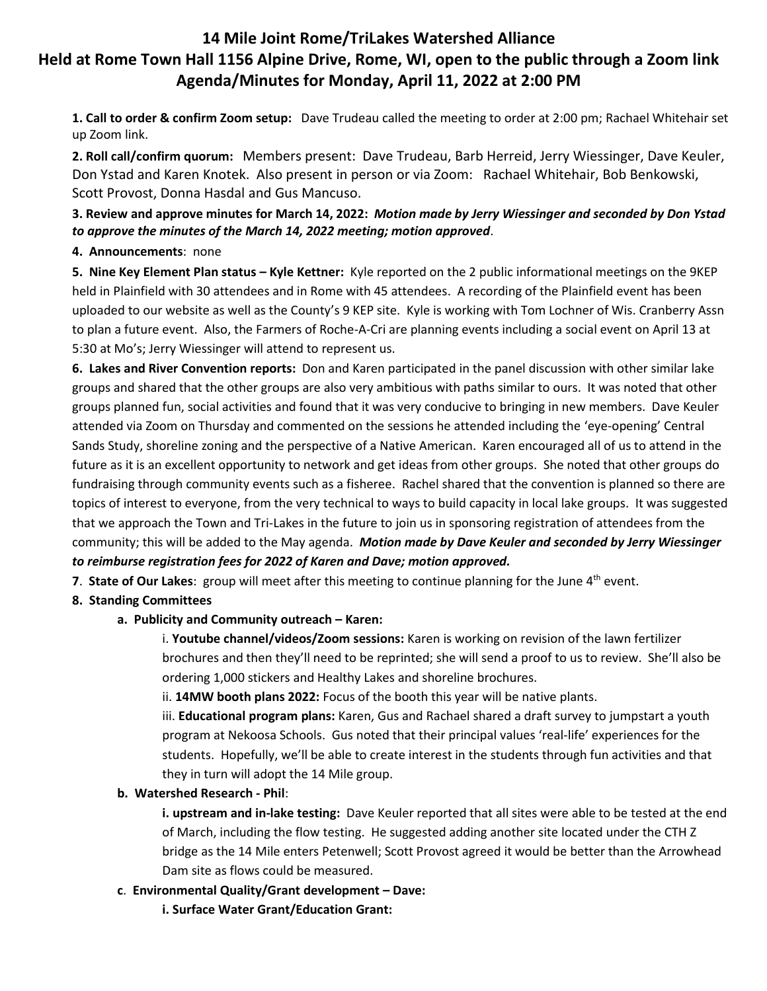# **14 Mile Joint Rome/TriLakes Watershed Alliance Held at Rome Town Hall 1156 Alpine Drive, Rome, WI, open to the public through a Zoom link Agenda/Minutes for Monday, April 11, 2022 at 2:00 PM**

**1. Call to order & confirm Zoom setup:** Dave Trudeau called the meeting to order at 2:00 pm; Rachael Whitehair set up Zoom link.

**2. Roll call/confirm quorum:** Members present: Dave Trudeau, Barb Herreid, Jerry Wiessinger, Dave Keuler, Don Ystad and Karen Knotek. Also present in person or via Zoom: Rachael Whitehair, Bob Benkowski, Scott Provost, Donna Hasdal and Gus Mancuso.

## **3. Review and approve minutes for March 14, 2022:** *Motion made by Jerry Wiessinger and seconded by Don Ystad to approve the minutes of the March 14, 2022 meeting; motion approved*.

### **4. Announcements**: none

**5. Nine Key Element Plan status – Kyle Kettner:** Kyle reported on the 2 public informational meetings on the 9KEP held in Plainfield with 30 attendees and in Rome with 45 attendees. A recording of the Plainfield event has been uploaded to our website as well as the County's 9 KEP site. Kyle is working with Tom Lochner of Wis. Cranberry Assn to plan a future event. Also, the Farmers of Roche-A-Cri are planning events including a social event on April 13 at 5:30 at Mo's; Jerry Wiessinger will attend to represent us.

**6. Lakes and River Convention reports:** Don and Karen participated in the panel discussion with other similar lake groups and shared that the other groups are also very ambitious with paths similar to ours. It was noted that other groups planned fun, social activities and found that it was very conducive to bringing in new members. Dave Keuler attended via Zoom on Thursday and commented on the sessions he attended including the 'eye-opening' Central Sands Study, shoreline zoning and the perspective of a Native American. Karen encouraged all of us to attend in the future as it is an excellent opportunity to network and get ideas from other groups. She noted that other groups do fundraising through community events such as a fisheree. Rachel shared that the convention is planned so there are topics of interest to everyone, from the very technical to ways to build capacity in local lake groups. It was suggested that we approach the Town and Tri-Lakes in the future to join us in sponsoring registration of attendees from the community; this will be added to the May agenda. *Motion made by Dave Keuler and seconded by Jerry Wiessinger to reimburse registration fees for 2022 of Karen and Dave; motion approved.*

**7. State of Our Lakes:** group will meet after this meeting to continue planning for the June 4<sup>th</sup> event.

## **8. Standing Committees**

## **a. Publicity and Community outreach – Karen:**

i. **Youtube channel/videos/Zoom sessions:** Karen is working on revision of the lawn fertilizer brochures and then they'll need to be reprinted; she will send a proof to us to review. She'll also be ordering 1,000 stickers and Healthy Lakes and shoreline brochures.

ii. **14MW booth plans 2022:** Focus of the booth this year will be native plants.

iii. **Educational program plans:** Karen, Gus and Rachael shared a draft survey to jumpstart a youth program at Nekoosa Schools. Gus noted that their principal values 'real-life' experiences for the students. Hopefully, we'll be able to create interest in the students through fun activities and that they in turn will adopt the 14 Mile group.

### **b. Watershed Research - Phil**:

**i. upstream and in-lake testing:** Dave Keuler reported that all sites were able to be tested at the end of March, including the flow testing. He suggested adding another site located under the CTH Z bridge as the 14 Mile enters Petenwell; Scott Provost agreed it would be better than the Arrowhead Dam site as flows could be measured.

### **c**. **Environmental Quality/Grant development – Dave:**

**i. Surface Water Grant/Education Grant:**